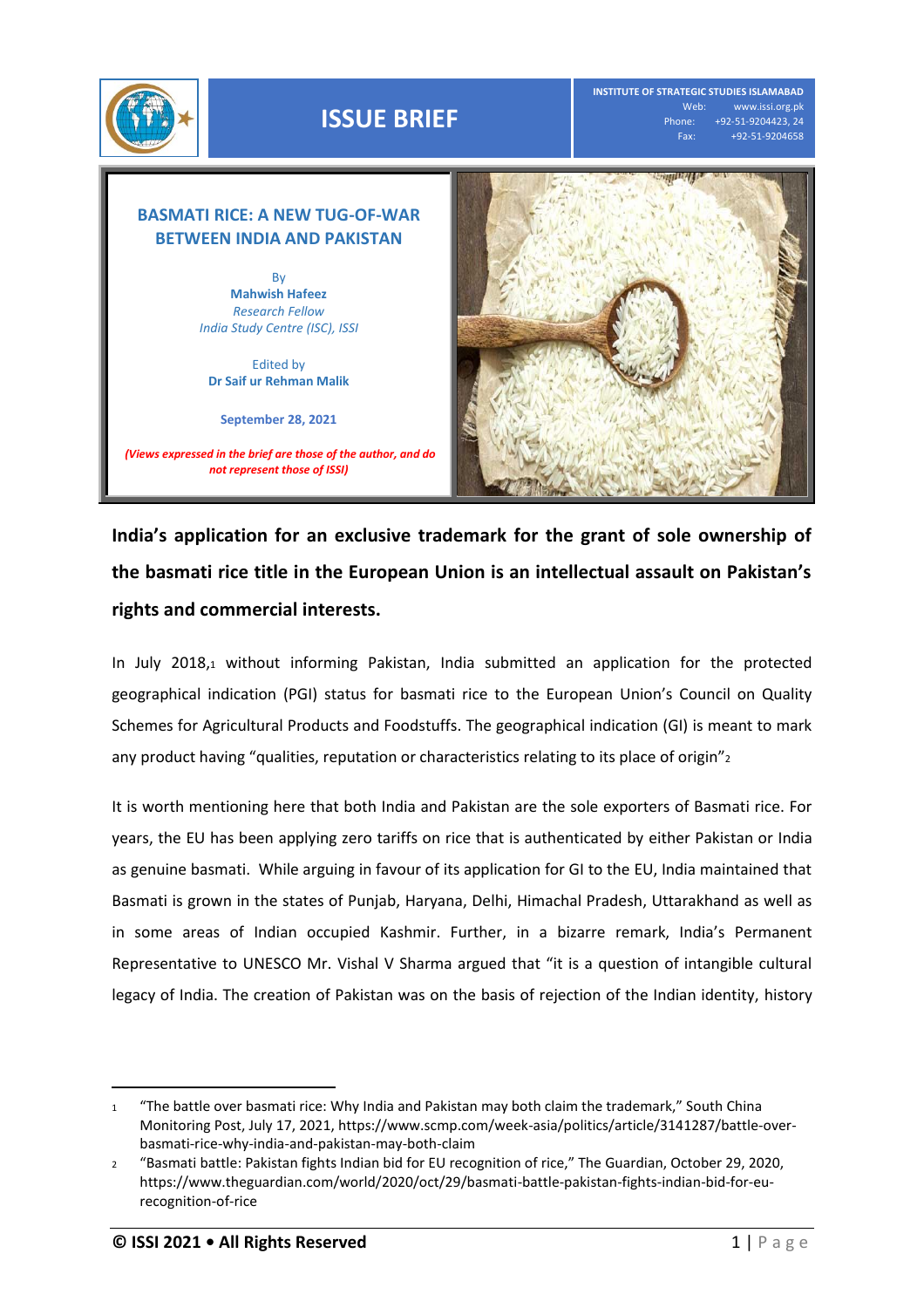

**INSTITUTE OF STRATEGIC STUDIES ISLAMABAD** Web: www.issi.org.pk<br>Phone: +92-51-9204423, 24 Phone: +92-51-9204423, 24 Fax: +92-51-9204658

## **BASMATI RICE: A NEW TUG-OF-WAR BETWEEN INDIA AND PAKISTAN**

By **Mahwish Hafeez** *Research Fellow India Study Centre (ISC), ISSI*

Edited by **Dr Saif ur Rehman Malik**

**September 28, 2021**

*(Views expressed in the brief are those of the author, and do not represent those of ISSI)*



**India's application for an exclusive trademark for the grant of sole ownership of the basmati rice title in the European Union is an intellectual assault on Pakistan's rights and commercial interests.**

In July 2018,<sup>1</sup> without informing Pakistan, India submitted an application for the protected geographical indication (PGI) status for basmati rice to the European Union's Council on Quality Schemes for Agricultural Products and Foodstuffs. The geographical indication (GI) is meant to mark any product having "qualities, reputation or characteristics relating to its place of origin"2

It is worth mentioning here that both India and Pakistan are the sole exporters of Basmati rice. For years, the EU has been applying zero tariffs on rice that is authenticated by either Pakistan or India as genuine basmati. While arguing in favour of its application for GI to the EU, India maintained that Basmati is grown in the states of Punjab, Haryana, Delhi, Himachal Pradesh, Uttarakhand as well as in some areas of Indian occupied Kashmir. Further, in a bizarre remark, India's Permanent Representative to UNESCO Mr. Vishal V Sharma argued that "it is a question of intangible cultural legacy of India. The creation of Pakistan was on the basis of rejection of the Indian identity, history

 $\overline{a}$ 

<sup>1</sup> "The battle over basmati rice: Why India and Pakistan may both claim the trademark," South China Monitoring Post, July 17, 2021, https://www.scmp.com/week-asia/politics/article/3141287/battle-overbasmati-rice-why-india-and-pakistan-may-both-claim

<sup>2</sup> "Basmati battle: Pakistan fights Indian bid for EU recognition of rice," The Guardian, October 29, 2020, https://www.theguardian.com/world/2020/oct/29/basmati-battle-pakistan-fights-indian-bid-for-eurecognition-of-rice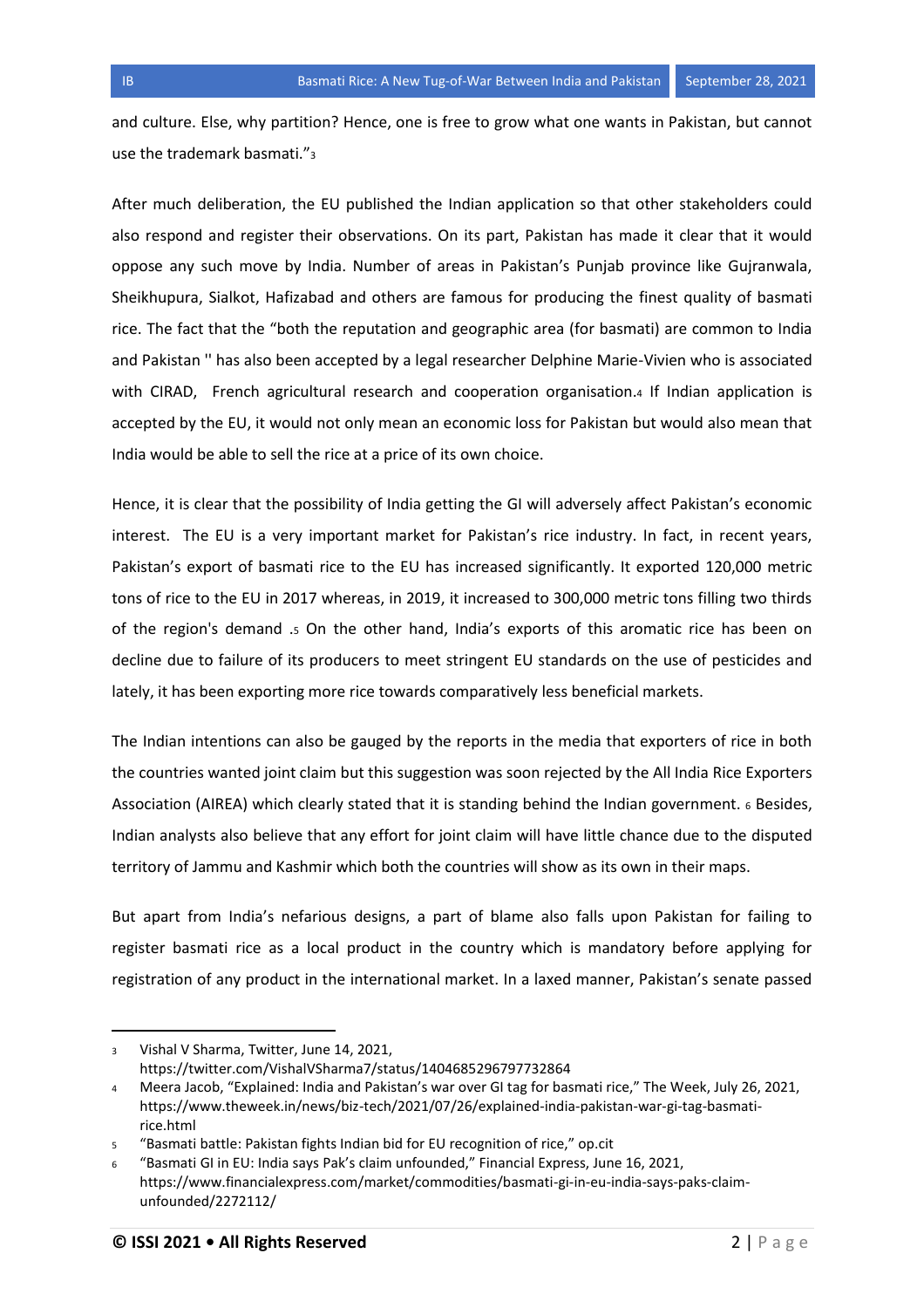and culture. Else, why partition? Hence, one is free to grow what one wants in Pakistan, but cannot use the trademark basmati."<sup>3</sup>

After much deliberation, the EU published the Indian application so that other stakeholders could also respond and register their observations. On its part, Pakistan has made it clear that it would oppose any such move by India. Number of areas in Pakistan's Punjab province like Gujranwala, Sheikhupura, Sialkot, Hafizabad and others are famous for producing the finest quality of basmati rice. The fact that the "both the reputation and geographic area (for basmati) are common to India and Pakistan '' has also been accepted by a legal researcher Delphine Marie-Vivien who is associated with CIRAD, French agricultural research and cooperation organisation.4 If Indian application is accepted by the EU, it would not only mean an economic loss for Pakistan but would also mean that India would be able to sell the rice at a price of its own choice.

Hence, it is clear that the possibility of India getting the GI will adversely affect Pakistan's economic interest. The EU is a very important market for Pakistan's rice industry. In fact, in recent years, Pakistan's export of basmati rice to the EU has increased significantly. It exported 120,000 metric tons of rice to the EU in 2017 whereas, in 2019, it increased to 300,000 metric tons filling two thirds of the region's demand .<sup>5</sup> On the other hand, India's exports of this aromatic rice has been on decline due to failure of its producers to meet stringent EU standards on the use of pesticides and lately, it has been exporting more rice towards comparatively less beneficial markets.

The Indian intentions can also be gauged by the reports in the media that exporters of rice in both the countries wanted joint claim but this suggestion was soon rejected by the All India Rice Exporters Association (AIREA) which clearly stated that it is standing behind the Indian government. <sup>6</sup> Besides, Indian analysts also believe that any effort for joint claim will have little chance due to the disputed territory of Jammu and Kashmir which both the countries will show as its own in their maps.

But apart from India's nefarious designs, a part of blame also falls upon Pakistan for failing to register basmati rice as a local product in the country which is mandatory before applying for registration of any product in the international market. In a laxed manner, Pakistan's senate passed

 $\overline{a}$ 

<sup>3</sup> Vishal V Sharma, Twitter, June 14, 2021, https://twitter.com/VishalVSharma7/status/1404685296797732864

<sup>4</sup> Meera Jacob, "Explained: India and Pakistan's war over GI tag for basmati rice," The Week, July 26, 2021, https://www.theweek.in/news/biz-tech/2021/07/26/explained-india-pakistan-war-gi-tag-basmatirice.html

<sup>5</sup> "Basmati battle: Pakistan fights Indian bid for EU recognition of rice," op.cit

<sup>6</sup> "Basmati GI in EU: India says Pak's claim unfounded," Financial Express, June 16, 2021, https://www.financialexpress.com/market/commodities/basmati-gi-in-eu-india-says-paks-claimunfounded/2272112/